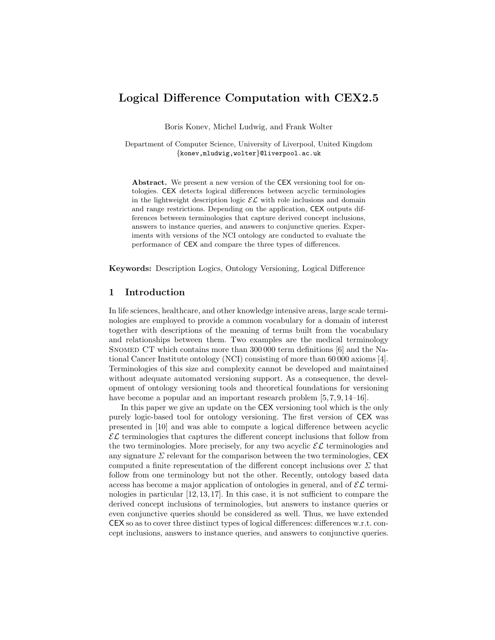# Logical Difference Computation with CEX2.5

Boris Konev, Michel Ludwig, and Frank Wolter

Department of Computer Science, University of Liverpool, United Kingdom {konev,mludwig,wolter}@liverpool.ac.uk

Abstract. We present a new version of the CEX versioning tool for ontologies. CEX detects logical differences between acyclic terminologies in the lightweight description logic  $\mathcal{EL}$  with role inclusions and domain and range restrictions. Depending on the application, CEX outputs differences between terminologies that capture derived concept inclusions, answers to instance queries, and answers to conjunctive queries. Experiments with versions of the NCI ontology are conducted to evaluate the performance of CEX and compare the three types of differences.

Keywords: Description Logics, Ontology Versioning, Logical Difference

## 1 Introduction

In life sciences, healthcare, and other knowledge intensive areas, large scale terminologies are employed to provide a common vocabulary for a domain of interest together with descriptions of the meaning of terms built from the vocabulary and relationships between them. Two examples are the medical terminology SNOMED CT which contains more than 300,000 term definitions [6] and the National Cancer Institute ontology (NCI) consisting of more than 60 000 axioms [4]. Terminologies of this size and complexity cannot be developed and maintained without adequate automated versioning support. As a consequence, the development of ontology versioning tools and theoretical foundations for versioning have become a popular and an important research problem  $[5, 7, 9, 14-16]$ .

In this paper we give an update on the CEX versioning tool which is the only purely logic-based tool for ontology versioning. The first version of CEX was presented in [10] and was able to compute a logical difference between acyclic  $\mathcal{EL}$  terminologies that captures the different concept inclusions that follow from the two terminologies. More precisely, for any two acyclic  $\mathcal{EL}$  terminologies and any signature  $\Sigma$  relevant for the comparison between the two terminologies, CEX computed a finite representation of the different concept inclusions over  $\Sigma$  that follow from one terminology but not the other. Recently, ontology based data access has become a major application of ontologies in general, and of  $\mathcal{EL}$  terminologies in particular [12, 13, 17]. In this case, it is not sufficient to compare the derived concept inclusions of terminologies, but answers to instance queries or even conjunctive queries should be considered as well. Thus, we have extended CEX so as to cover three distinct types of logical differences: differences w.r.t. concept inclusions, answers to instance queries, and answers to conjunctive queries.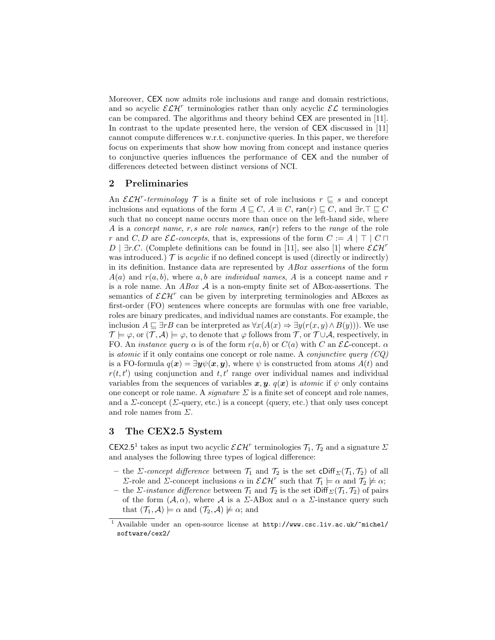Moreover, CEX now admits role inclusions and range and domain restrictions, and so acyclic  $\mathcal{ELH}^r$  terminologies rather than only acyclic  $\mathcal{EL}$  terminologies can be compared. The algorithms and theory behind CEX are presented in [11]. In contrast to the update presented here, the version of CEX discussed in [11] cannot compute differences w.r.t. conjunctive queries. In this paper, we therefore focus on experiments that show how moving from concept and instance queries to conjunctive queries influences the performance of CEX and the number of differences detected between distinct versions of NCI.

#### 2 Preliminaries

An  $\mathcal{ELH}^r$ -terminology  $\mathcal T$  is a finite set of role inclusions  $r \subseteq s$  and concept inclusions and equations of the form  $A \sqsubseteq C$ ,  $A \equiv C$ , ran(r)  $\sqsubseteq C$ , and  $\exists r.\top \sqsubseteq C$ such that no concept name occurs more than once on the left-hand side, where A is a concept name, r, s are role names,  $ran(r)$  refers to the range of the role r and C, D are  $\mathcal{EL}\text{-concepts}$ , that is, expressions of the form  $C := A | \top | C \sqcap$ D | ∃r.C. (Complete definitions can be found in [11], see also [1] where  $\mathcal{ELH}^r$ was introduced.)  $\mathcal T$  is *acyclic* if no defined concept is used (directly or indirectly) in its definition. Instance data are represented by ABox assertions of the form  $A(a)$  and  $r(a, b)$ , where a, b are *individual names*, A is a concept name and r is a role name. An  $ABox \mathcal{A}$  is a non-empty finite set of ABox-assertions. The semantics of  $\mathcal{ELH}^r$  can be given by interpreting terminologies and ABoxes as first-order (FO) sentences where concepts are formulas with one free variable, roles are binary predicates, and individual names are constants. For example, the inclusion  $A \sqsubseteq \exists rB$  can be interpreted as  $\forall x(A(x) \Rightarrow \exists y(r(x, y) \land B(y)))$ . We use  $\mathcal{T} \models \varphi$ , or  $(\mathcal{T}, \mathcal{A}) \models \varphi$ , to denote that  $\varphi$  follows from  $\mathcal{T}$ , or  $\mathcal{T} \cup \mathcal{A}$ , respectively, in FO. An *instance query*  $\alpha$  is of the form  $r(a, b)$  or  $C(a)$  with C an  $\mathcal{EL}$ -concept.  $\alpha$ is *atomic* if it only contains one concept or role name. A *conjunctive query*  $(CQ)$ is a FO-formula  $q(x) = \exists y \psi(x, y)$ , where  $\psi$  is constructed from atoms  $A(t)$  and  $r(t, t')$  using conjunction and  $t, t'$  range over individual names and individual variables from the sequences of variables  $x, y, q(x)$  is atomic if  $\psi$  only contains one concept or role name. A *signature*  $\Sigma$  is a finite set of concept and role names, and a  $\Sigma$ -concept ( $\Sigma$ -query, etc.) is a concept (query, etc.) that only uses concept and role names from  $\Sigma$ .

## 3 The CEX2.5 System

**CEX2.5<sup>1</sup>** takes as input two acyclic  $\mathcal{ELH}^r$  terminologies  $\mathcal{T}_1$ ,  $\mathcal{T}_2$  and a signature  $\Sigma$ and analyses the following three types of logical difference:

- the *Σ*-concept difference between  $\mathcal{T}_1$  and  $\mathcal{T}_2$  is the set cDiff<sub>*Σ*</sub>( $\mathcal{T}_1$ ,  $\mathcal{T}_2$ ) of all Σ-role and Σ-concept inclusions  $\alpha$  in  $\mathcal{ELH}^r$  such that  $\mathcal{T}_1 \models \alpha$  and  $\mathcal{T}_2 \not\models \alpha$ ;
- the *Σ*-instance difference between  $\mathcal{T}_1$  and  $\mathcal{T}_2$  is the set iDiff<sub> $\Sigma(\mathcal{T}_1, \mathcal{T}_2)$  of pairs</sub> of the form  $(A, \alpha)$ , where A is a  $\Sigma$ -ABox and  $\alpha$  a  $\Sigma$ -instance query such that  $(\mathcal{T}_1, \mathcal{A}) \models \alpha$  and  $(\mathcal{T}_2, \mathcal{A}) \not\models \alpha$ ; and

 $^1$  Available under an open-source license at  ${\tt http://www.csc.liv.ac.uk/~michel/}$ software/cex2/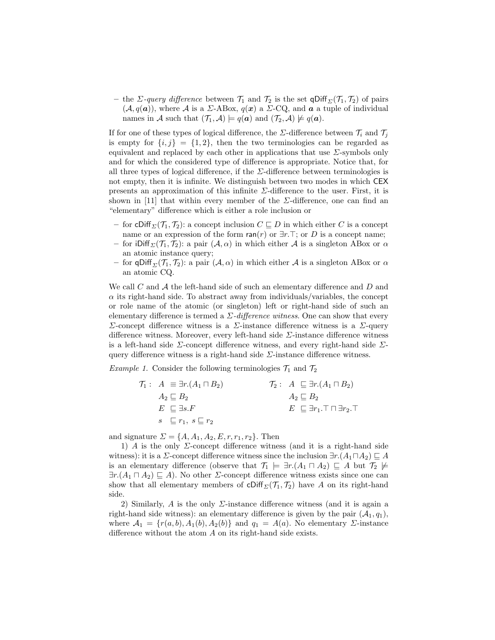– the *Σ*-query difference between  $\mathcal{T}_1$  and  $\mathcal{T}_2$  is the set qDiff<sub> $\Sigma(\mathcal{T}_1, \mathcal{T}_2)$  of pairs</sub>  $(\mathcal{A}, q(\boldsymbol{a}))$ , where  $\mathcal{A}$  is a  $\Sigma$ -ABox,  $q(\boldsymbol{x})$  a  $\Sigma$ -CQ, and  $\boldsymbol{a}$  a tuple of individual names in A such that  $(\mathcal{T}_1, \mathcal{A}) \models q(\mathbf{a})$  and  $(\mathcal{T}_2, \mathcal{A}) \not\models q(\mathbf{a})$ .

If for one of these types of logical difference, the  $\Sigma$ -difference between  $\mathcal{T}_i$  and  $\mathcal{T}_j$ is empty for  $\{i, j\} = \{1, 2\}$ , then the two terminologies can be regarded as equivalent and replaced by each other in applications that use  $\Sigma$ -symbols only and for which the considered type of difference is appropriate. Notice that, for all three types of logical difference, if the  $\Sigma$ -difference between terminologies is not empty, then it is infinite. We distinguish between two modes in which CEX presents an approximation of this infinite  $\Sigma$ -difference to the user. First, it is shown in [11] that within every member of the  $\Sigma$ -difference, one can find an "elementary" difference which is either a role inclusion or

- for cDiff<sub> $\Sigma$ </sub> $(T_1, T_2)$ : a concept inclusion  $C \subseteq D$  in which either C is a concept name or an expression of the form  $ran(r)$  or  $\exists r.\top$ ; or D is a concept name;
- for iDiff<sub> $\Sigma$ </sub> $(\mathcal{T}_1, \mathcal{T}_2)$ : a pair  $(\mathcal{A}, \alpha)$  in which either A is a singleton ABox or  $\alpha$ an atomic instance query;
- for qDiff<sub> $\Sigma$ </sub> $(\mathcal{T}_1, \mathcal{T}_2)$ : a pair  $(\mathcal{A}, \alpha)$  in which either  $\mathcal A$  is a singleton ABox or  $\alpha$ an atomic CQ.

We call  $C$  and  $\mathcal A$  the left-hand side of such an elementary difference and  $D$  and  $\alpha$  its right-hand side. To abstract away from individuals/variables, the concept or role name of the atomic (or singleton) left or right-hand side of such an elementary difference is termed a  $\Sigma$ -difference witness. One can show that every Σ-concept difference witness is a Σ-instance difference witness is a Σ-query difference witness. Moreover, every left-hand side  $\Sigma$ -instance difference witness is a left-hand side  $\Sigma$ -concept difference witness, and every right-hand side  $\Sigma$ query difference witness is a right-hand side  $\Sigma$ -instance difference witness.

*Example 1.* Consider the following terminologies  $\mathcal{T}_1$  and  $\mathcal{T}_2$ 

| $\mathcal{T}_1: A \equiv \exists r.(A_1 \sqcap B_2)$ | $\mathcal{T}_2: A \subseteq \exists r.(A_1 \sqcap B_2)$              |
|------------------------------------------------------|----------------------------------------------------------------------|
| $A_2 \sqsubseteq B_2$                                | $A_2 \sqsubseteq B_2$                                                |
| $E \subseteq \exists s.F$                            | $E \subseteq \exists r_1 \ldotp \top \sqcap \exists r_2 \ldotp \top$ |
| $s \subseteq r_1, s \sqsubseteq r_2$                 |                                                                      |

and signature  $\Sigma = \{A, A_1, A_2, E, r, r_1, r_2\}$ . Then

1) A is the only  $\Sigma$ -concept difference witness (and it is a right-hand side witness): it is a  $\Sigma$ -concept difference witness since the inclusion  $\exists r.(A_1 \sqcap A_2) \sqsubseteq A$ is an elementary difference (observe that  $\mathcal{T}_1 \models \exists r.(A_1 \sqcap A_2) \sqsubseteq A$  but  $\mathcal{T}_2 \not\models$  $\exists r.(A_1 \sqcap A_2) \sqsubseteq A$ ). No other  $\Sigma$ -concept difference witness exists since one can show that all elementary members of  $\text{Cliff}_{\Sigma}(\mathcal{T}_1, \mathcal{T}_2)$  have A on its right-hand side.

2) Similarly, A is the only  $\Sigma$ -instance difference witness (and it is again a right-hand side witness): an elementary difference is given by the pair  $(A_1, q_1)$ , where  $A_1 = \{r(a, b), A_1(b), A_2(b)\}\$ and  $q_1 = A(a)$ . No elementary  $\Sigma$ -instance difference without the atom A on its right-hand side exists.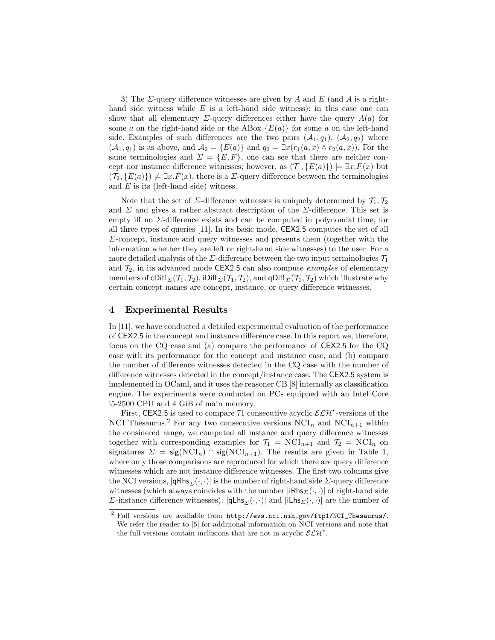3) The  $\Sigma$ -query difference witnesses are given by A and E (and A is a righthand side witness while  $E$  is a left-hand side witness): in this case one can show that all elementary  $\Sigma$ -query differences either have the query  $A(a)$  for some a on the right-hand side or the ABox  ${E(a)}$  for some a on the left-hand side. Examples of such differences are the two pairs  $(A_1, q_1), (A_2, q_2)$  where  $(\mathcal{A}_1, q_1)$  is as above, and  $\mathcal{A}_2 = \{E(a)\}\$ and  $q_2 = \exists x(r_1(a, x) \wedge r_2(a, x))$ . For the same terminologies and  $\Sigma = \{E, F\}$ , one can see that there are neither concept nor instance difference witnesses; however, as  $(\mathcal{T}_1, \{E(a)\}) \models \exists x . F(x)$  but  $(\mathcal{T}_2, \{E(a)\}) \not\models \exists x.F(x)$ , there is a  $\Sigma$ -query difference between the terminologies and  $E$  is its (left-hand side) witness.

Note that the set of  $\Sigma$ -difference witnesses is uniquely determined by  $\mathcal{T}_1, \mathcal{T}_2$ and  $\Sigma$  and gives a rather abstract description of the  $\Sigma$ -difference. This set is empty iff no Σ-difference exists and can be computed in polynomial time, for all three types of queries [11]. In its basic mode, CEX2.5 computes the set of all  $\Sigma$ -concept, instance and query witnesses and presents them (together with the information whether they are left or right-hand side witnesses) to the user. For a more detailed analysis of the  $\Sigma$ -difference between the two input terminologies  $\mathcal{T}_1$ and  $\mathcal{T}_2$ , in its advanced mode CEX2.5 can also compute *examples* of elementary members of cDiff<sub>Σ</sub>( $\mathcal{T}_1$ ,  $\mathcal{T}_2$ ), iDiff<sub>Σ</sub>( $\mathcal{T}_1$ ,  $\mathcal{T}_2$ ), and qDiff<sub>Σ</sub>( $\mathcal{T}_1$ ,  $\mathcal{T}_2$ ) which illustrate why certain concept names are concept, instance, or query difference witnesses.

## 4 Experimental Results

In [11], we have conducted a detailed experimental evaluation of the performance of CEX2.5 in the concept and instance difference case. In this report we, therefore, focus on the CQ case and (a) compare the performance of CEX2.5 for the CQ case with its performance for the concept and instance case, and (b) compare the number of difference witnesses detected in the CQ case with the number of difference witnesses detected in the concept/instance case. The CEX2.5 system is implemented in OCaml, and it uses the reasoner CB [8] internally as classification engine. The experiments were conducted on PCs equipped with an Intel Core i5-2500 CPU and 4 GiB of main memory.

First, CEX2.5 is used to compare 71 consecutive acyclic  $\mathcal{ELH}^r$ -versions of the NCI Thesaurus.<sup>2</sup> For any two consecutive versions  $NCI_n$  and  $NCI_{n+1}$  within the considered range, we computed all instance and query difference witnesses together with corresponding examples for  $\mathcal{T}_1 = \text{NCI}_{n+1}$  and  $\mathcal{T}_2 = \text{NCI}_n$  on signatures  $\Sigma = \text{sig}(\text{NCI}_n) \cap \text{sig}(\text{NCI}_{n+1})$ . The results are given in Table 1, where only those comparisons are reproduced for which there are query difference witnesses which are not instance difference witnesses. The first two columns give the NCI versions,  $|qRhs_{\Sigma}(\cdot, \cdot)|$  is the number of right-hand side  $\Sigma$ -query difference witnesses (which always coincides with the number  $|iRh s_{\Sigma}(\cdot, \cdot)|$  of right-hand side Σ-instance difference witnesses).  $|q\text{Lhs}_{\Sigma}(\cdot,\cdot)|$  and  $|i\text{Lhs}_{\Sigma}(\cdot,\cdot)|$  are the number of

 $^{2}$  Full versions are available from  $\text{http://evs.nci.nih.gov/ftp1/NCI_Thesaurus/}.$ We refer the reader to [5] for additional information on NCI versions and note that the full versions contain inclusions that are not in acyclic  $\mathcal{ELH}^r$ .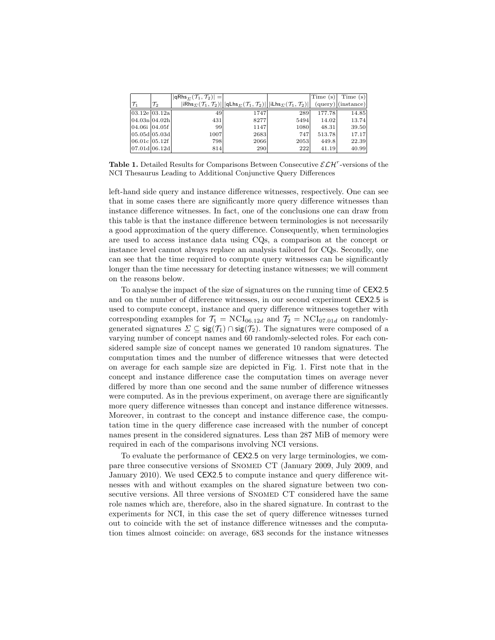|                   |           | $ qRhs_{\Sigma}(\mathcal{T}_1,\mathcal{T}_2) = $ |                                                                                                                                                                                                         |      | $\text{Time}$ (s) | Time(s) |
|-------------------|-----------|--------------------------------------------------|---------------------------------------------------------------------------------------------------------------------------------------------------------------------------------------------------------|------|-------------------|---------|
| $ \mathcal{T}_1 $ | $\tau _2$ |                                                  | $\vert$ iRhs $_{\Sigma}(\mathcal{T}_1,\mathcal{T}_2)\vert \vert$  qLhs $_{\Sigma}(\mathcal{T}_1,\mathcal{T}_2)\vert \vert$  iLhs $_{\Sigma}(\mathcal{T}_1,\mathcal{T}_2)\vert \vert$ (query) (instance) |      |                   |         |
| 03.12e 03.12a     |           | 49                                               | 1747                                                                                                                                                                                                    | 289  | 177.78            | 14.85   |
| 04.03n 04.02h     |           | 431                                              | 8277                                                                                                                                                                                                    | 5494 | 14.02             | 13.74   |
| 04.06i 04.05f     |           | 99                                               | 1147                                                                                                                                                                                                    | 1080 | 48.31             | 39.50   |
| 05.05d 05.03d     |           | 1007                                             | 2683                                                                                                                                                                                                    | 747  | 513.78            | 17.17   |
| 06.01c 05.12f     |           | 798                                              | 2066                                                                                                                                                                                                    | 2053 | 449.8             | 22.39   |
| 07.01d 06.12d     |           | 814                                              | 290                                                                                                                                                                                                     | 222  | 41.19             | 40.99   |

Table 1. Detailed Results for Comparisons Between Consecutive  $\mathcal{ELH}^r$ -versions of the NCI Thesaurus Leading to Additional Conjunctive Query Differences

left-hand side query and instance difference witnesses, respectively. One can see that in some cases there are significantly more query difference witnesses than instance difference witnesses. In fact, one of the conclusions one can draw from this table is that the instance difference between terminologies is not necessarily a good approximation of the query difference. Consequently, when terminologies are used to access instance data using CQs, a comparison at the concept or instance level cannot always replace an analysis tailored for CQs. Secondly, one can see that the time required to compute query witnesses can be significantly longer than the time necessary for detecting instance witnesses; we will comment on the reasons below.

To analyse the impact of the size of signatures on the running time of CEX2.5 and on the number of difference witnesses, in our second experiment CEX2.5 is used to compute concept, instance and query difference witnesses together with corresponding examples for  $\mathcal{T}_1 = \text{NCI}_{06.12d}$  and  $\mathcal{T}_2 = \text{NCI}_{07.01d}$  on randomlygenerated signatures  $\Sigma \subseteq \mathsf{sig}(\mathcal{T}_1) \cap \mathsf{sig}(\mathcal{T}_2)$ . The signatures were composed of a varying number of concept names and 60 randomly-selected roles. For each considered sample size of concept names we generated 10 random signatures. The computation times and the number of difference witnesses that were detected on average for each sample size are depicted in Fig. 1. First note that in the concept and instance difference case the computation times on average never differed by more than one second and the same number of difference witnesses were computed. As in the previous experiment, on average there are significantly more query difference witnesses than concept and instance difference witnesses. Moreover, in contrast to the concept and instance difference case, the computation time in the query difference case increased with the number of concept names present in the considered signatures. Less than 287 MiB of memory were required in each of the comparisons involving NCI versions.

To evaluate the performance of CEX2.5 on very large terminologies, we compare three consecutive versions of Snomed CT (January 2009, July 2009, and January 2010). We used CEX2.5 to compute instance and query difference witnesses with and without examples on the shared signature between two consecutive versions. All three versions of SNOMED CT considered have the same role names which are, therefore, also in the shared signature. In contrast to the experiments for NCI, in this case the set of query difference witnesses turned out to coincide with the set of instance difference witnesses and the computation times almost coincide: on average, 683 seconds for the instance witnesses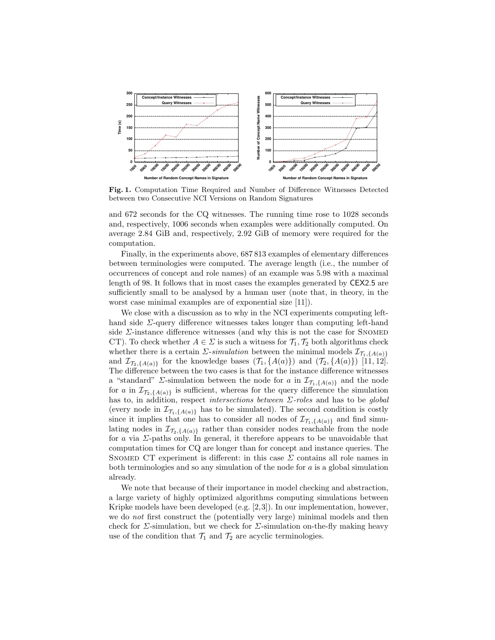

Fig. 1. Computation Time Required and Number of Difference Witnesses Detected between two Consecutive NCI Versions on Random Signatures

and 672 seconds for the CQ witnesses. The running time rose to 1028 seconds and, respectively, 1006 seconds when examples were additionally computed. On average 2.84 GiB and, respectively, 2.92 GiB of memory were required for the computation.

Finally, in the experiments above, 687 813 examples of elementary differences between terminologies were computed. The average length (i.e., the number of occurrences of concept and role names) of an example was 5.98 with a maximal length of 98. It follows that in most cases the examples generated by CEX2.5 are sufficiently small to be analysed by a human user (note that, in theory, in the worst case minimal examples are of exponential size [11]).

We close with a discussion as to why in the NCI experiments computing lefthand side  $\Sigma$ -query difference witnesses takes longer than computing left-hand side  $\Sigma$ -instance difference witnesses (and why this is not the case for SNOMED CT). To check whether  $A \in \Sigma$  is such a witness for  $\mathcal{T}_1, \mathcal{T}_2$  both algorithms check whether there is a certain  $\Sigma$ -simulation between the minimal models  $\mathcal{I}_{\mathcal{T}_1,\{A(a)\}}$ and  $\mathcal{I}_{\mathcal{T}_2,\{A(a)\}}$  for the knowledge bases  $(\mathcal{T}_1,\{A(a)\})$  and  $(\mathcal{T}_2,\{A(a)\})$  [11, 12]. The difference between the two cases is that for the instance difference witnesses a "standard"  $\Sigma$ -simulation between the node for a in  $\mathcal{I}_{\mathcal{T}_1,\{A(a)\}}$  and the node for a in  $\mathcal{I}_{\mathcal{T}_2,\{A(a)\}}$  is sufficient, whereas for the query difference the simulation has to, in addition, respect *intersections between*  $\Sigma$ -roles and has to be global (every node in  $\mathcal{I}_{\mathcal{T}_1,\{A(a)\}}$  has to be simulated). The second condition is costly since it implies that one has to consider all nodes of  $\mathcal{I}_{\mathcal{T}_1,\{A(a)\}}$  and find simulating nodes in  $\mathcal{I}_{\mathcal{T}_2, \{A(a)\}}$  rather than consider nodes reachable from the node for a via  $\Sigma$ -paths only. In general, it therefore appears to be unavoidable that computation times for CQ are longer than for concept and instance queries. The SNOMED CT experiment is different: in this case  $\Sigma$  contains all role names in both terminologies and so any simulation of the node for  $a$  is a global simulation already.

We note that because of their importance in model checking and abstraction, a large variety of highly optimized algorithms computing simulations between Kripke models have been developed (e.g. [2,3]). In our implementation, however, we do not first construct the (potentially very large) minimal models and then check for  $\Sigma$ -simulation, but we check for  $\Sigma$ -simulation on-the-fly making heavy use of the condition that  $\mathcal{T}_1$  and  $\mathcal{T}_2$  are acyclic terminologies.